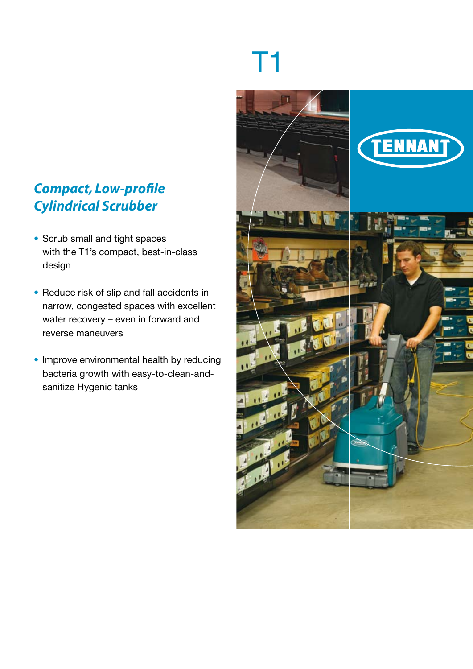# *Compact, Low-profile Cylindrical Scrubber*

- Scrub small and tight spaces with the T1's compact, best-in-class design
- Reduce risk of slip and fall accidents in narrow, congested spaces with excellent water recovery – even in forward and reverse maneuvers
- Improve environmental health by reducing bacteria growth with easy-to-clean-andsanitize Hygenic tanks